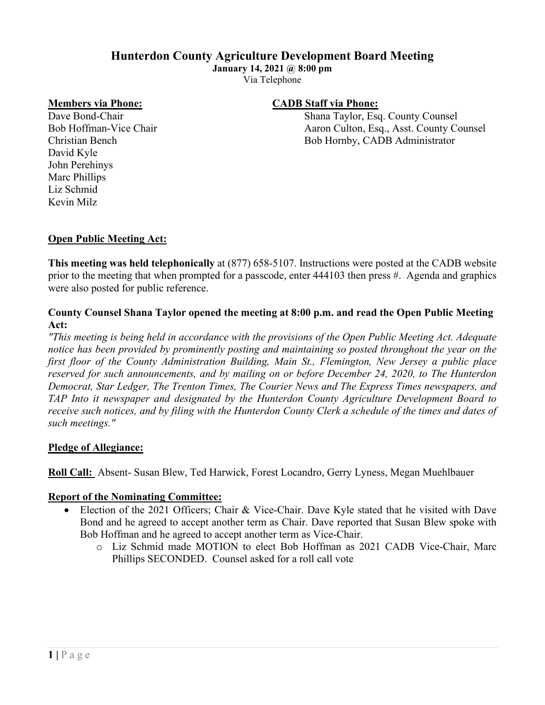# **Hunterdon County Agriculture Development Board Meeting**

**January 14, 2021 @ 8:00 pm**

Via Telephone

David Kyle John Perehinys Marc Phillips Liz Schmid Kevin Milz

## **Members via Phone: CADB Staff via Phone:**

Dave Bond-Chair Shana Taylor, Esq. County Counsel Bob Hoffman-Vice Chair Aaron Culton, Esq., Asst. County Counsel Christian Bench Bob Hornby, CADB Administrator

## **Open Public Meeting Act:**

**This meeting was held telephonically** at (877) 658-5107. Instructions were posted at the CADB website prior to the meeting that when prompted for a passcode, enter 444103 then press #. Agenda and graphics were also posted for public reference.

#### **County Counsel Shana Taylor opened the meeting at 8:00 p.m. and read the Open Public Meeting Act:**

*"This meeting is being held in accordance with the provisions of the Open Public Meeting Act. Adequate notice has been provided by prominently posting and maintaining so posted throughout the year on the first floor of the County Administration Building, Main St., Flemington, New Jersey a public place reserved for such announcements, and by mailing on or before December 24, 2020, to The Hunterdon Democrat, Star Ledger, The Trenton Times, The Courier News and The Express Times newspapers, and TAP Into it newspaper and designated by the Hunterdon County Agriculture Development Board to receive such notices, and by filing with the Hunterdon County Clerk a schedule of the times and dates of such meetings."*

## **Pledge of Allegiance:**

**Roll Call:** Absent- Susan Blew, Ted Harwick, Forest Locandro, Gerry Lyness, Megan Muehlbauer

## **Report of the Nominating Committee:**

- Election of the 2021 Officers; Chair & Vice-Chair. Dave Kyle stated that he visited with Dave Bond and he agreed to accept another term as Chair. Dave reported that Susan Blew spoke with Bob Hoffman and he agreed to accept another term as Vice-Chair.
	- o Liz Schmid made MOTION to elect Bob Hoffman as 2021 CADB Vice-Chair, Marc Phillips SECONDED. Counsel asked for a roll call vote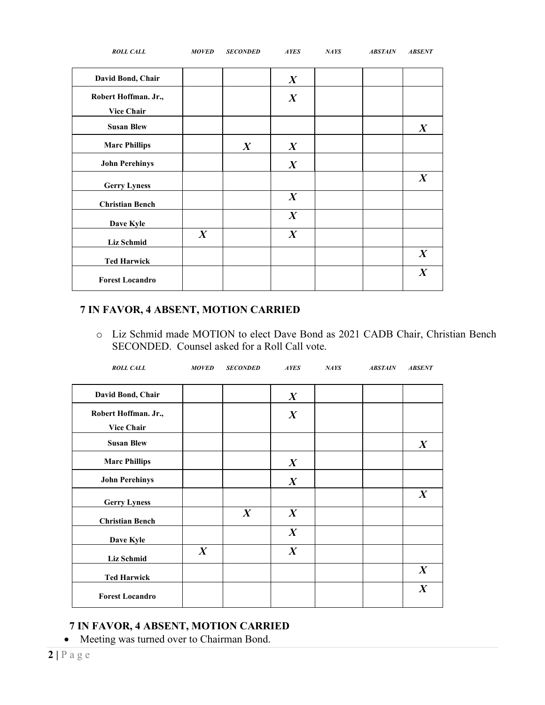| <b>ROLL CALL</b>                          | <b>MOVED</b>     | <b>SECONDED</b>  | <b>AYES</b>      | NAYS | <b>ABSTAIN</b> | <b>ABSENT</b>    |
|-------------------------------------------|------------------|------------------|------------------|------|----------------|------------------|
| David Bond, Chair                         |                  |                  | $\boldsymbol{X}$ |      |                |                  |
| Robert Hoffman. Jr.,<br><b>Vice Chair</b> |                  |                  | $\boldsymbol{X}$ |      |                |                  |
| <b>Susan Blew</b>                         |                  |                  |                  |      |                | $\boldsymbol{X}$ |
| <b>Marc Phillips</b>                      |                  | $\boldsymbol{X}$ | $\boldsymbol{X}$ |      |                |                  |
| <b>John Perehinys</b>                     |                  |                  | $\boldsymbol{X}$ |      |                |                  |
| <b>Gerry Lyness</b>                       |                  |                  |                  |      |                | $\boldsymbol{X}$ |
| <b>Christian Bench</b>                    |                  |                  | $\boldsymbol{X}$ |      |                |                  |
| Dave Kyle                                 |                  |                  | $\boldsymbol{X}$ |      |                |                  |
| Liz Schmid                                | $\boldsymbol{X}$ |                  | $\boldsymbol{X}$ |      |                |                  |
| <b>Ted Harwick</b>                        |                  |                  |                  |      |                | $\boldsymbol{X}$ |
| <b>Forest Locandro</b>                    |                  |                  |                  |      |                | $\boldsymbol{X}$ |

# **7 IN FAVOR, 4 ABSENT, MOTION CARRIED**

o Liz Schmid made MOTION to elect Dave Bond as 2021 CADB Chair, Christian Bench SECONDED. Counsel asked for a Roll Call vote.

| <b>ROLL CALL</b>                          | <b>MOVED</b>     | <b>SECONDED</b>  | <b>AYES</b>      | NATS | <b>ABSTAIN</b> | <b>ABSENT</b>    |
|-------------------------------------------|------------------|------------------|------------------|------|----------------|------------------|
| David Bond, Chair                         |                  |                  | $\boldsymbol{X}$ |      |                |                  |
| Robert Hoffman. Jr.,<br><b>Vice Chair</b> |                  |                  | $\boldsymbol{X}$ |      |                |                  |
| <b>Susan Blew</b>                         |                  |                  |                  |      |                | $\boldsymbol{X}$ |
| <b>Marc Phillips</b>                      |                  |                  | $\boldsymbol{X}$ |      |                |                  |
| <b>John Perehinys</b>                     |                  |                  | $\boldsymbol{X}$ |      |                |                  |
| <b>Gerry Lyness</b>                       |                  |                  |                  |      |                | $\boldsymbol{X}$ |
| <b>Christian Bench</b>                    |                  | $\boldsymbol{X}$ | $\boldsymbol{X}$ |      |                |                  |
| Dave Kyle                                 |                  |                  | $\boldsymbol{X}$ |      |                |                  |
| <b>Liz Schmid</b>                         | $\boldsymbol{X}$ |                  | $\boldsymbol{X}$ |      |                |                  |
| <b>Ted Harwick</b>                        |                  |                  |                  |      |                | $\boldsymbol{X}$ |
| <b>Forest Locandro</b>                    |                  |                  |                  |      |                | $\boldsymbol{X}$ |

# **7 IN FAVOR, 4 ABSENT, MOTION CARRIED**

• Meeting was turned over to Chairman Bond.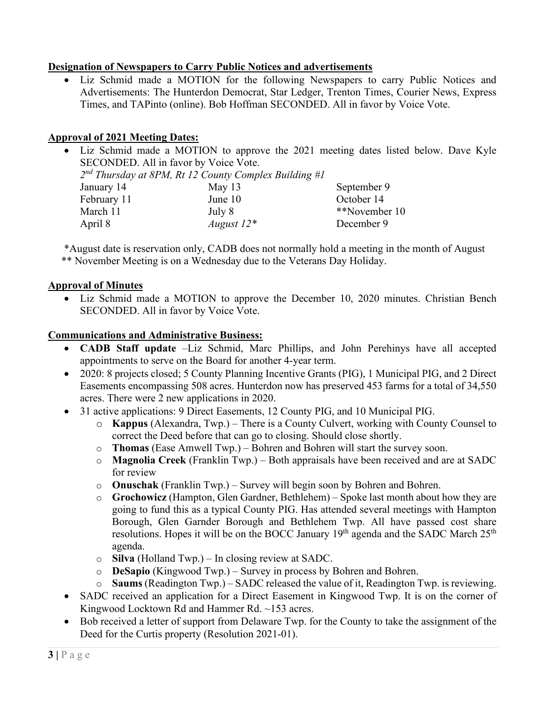# **Designation of Newspapers to Carry Public Notices and advertisements**

• Liz Schmid made a MOTION for the following Newspapers to carry Public Notices and Advertisements: The Hunterdon Democrat, Star Ledger, Trenton Times, Courier News, Express Times, and TAPinto (online). Bob Hoffman SECONDED. All in favor by Voice Vote.

# **Approval of 2021 Meeting Dates:**

|                                                         |                                       |               | • Liz Schmid made a MOTION to approve the 2021 meeting dates listed below. Dave Kyle |  |  |  |
|---------------------------------------------------------|---------------------------------------|---------------|--------------------------------------------------------------------------------------|--|--|--|
|                                                         | SECONDED. All in favor by Voice Vote. |               |                                                                                      |  |  |  |
| $2nd$ Thursday at 8PM, Rt 12 County Complex Building #1 |                                       |               |                                                                                      |  |  |  |
|                                                         | January 14                            | May $13$      | September 9                                                                          |  |  |  |
|                                                         | February 11                           | June 10       | October 14                                                                           |  |  |  |
|                                                         | March 11                              | July 8        | **November 10                                                                        |  |  |  |
|                                                         | April 8                               | August $12^*$ | December 9                                                                           |  |  |  |
|                                                         |                                       |               |                                                                                      |  |  |  |

\*August date is reservation only, CADB does not normally hold a meeting in the month of August \*\* November Meeting is on a Wednesday due to the Veterans Day Holiday.

## **Approval of Minutes**

• Liz Schmid made a MOTION to approve the December 10, 2020 minutes. Christian Bench SECONDED. All in favor by Voice Vote.

## **Communications and Administrative Business:**

- **CADB Staff update** –Liz Schmid, Marc Phillips, and John Perehinys have all accepted appointments to serve on the Board for another 4-year term.
- 2020: 8 projects closed; 5 County Planning Incentive Grants (PIG), 1 Municipal PIG, and 2 Direct Easements encompassing 508 acres. Hunterdon now has preserved 453 farms for a total of 34,550 acres. There were 2 new applications in 2020.
- 31 active applications: 9 Direct Easements, 12 County PIG, and 10 Municipal PIG.
	- o **Kappus** (Alexandra, Twp.) There is a County Culvert, working with County Counsel to correct the Deed before that can go to closing. Should close shortly.
	- o **Thomas** (Ease Amwell Twp.) Bohren and Bohren will start the survey soon.
	- o **Magnolia Creek** (Franklin Twp.) Both appraisals have been received and are at SADC for review
	- o **Onuschak** (Franklin Twp.) Survey will begin soon by Bohren and Bohren.
	- o **Grochowicz** (Hampton, Glen Gardner, Bethlehem) Spoke last month about how they are going to fund this as a typical County PIG. Has attended several meetings with Hampton Borough, Glen Garnder Borough and Bethlehem Twp. All have passed cost share resolutions. Hopes it will be on the BOCC January  $19<sup>th</sup>$  agenda and the SADC March  $25<sup>th</sup>$ agenda.
	- o **Silva** (Holland Twp.) In closing review at SADC.
	- o **DeSapio** (Kingwood Twp.) Survey in process by Bohren and Bohren.
	- o **Saums** (Readington Twp.) SADC released the value of it, Readington Twp. is reviewing.
- SADC received an application for a Direct Easement in Kingwood Twp. It is on the corner of Kingwood Locktown Rd and Hammer Rd. ~153 acres.
- Bob received a letter of support from Delaware Twp. for the County to take the assignment of the Deed for the Curtis property (Resolution 2021-01).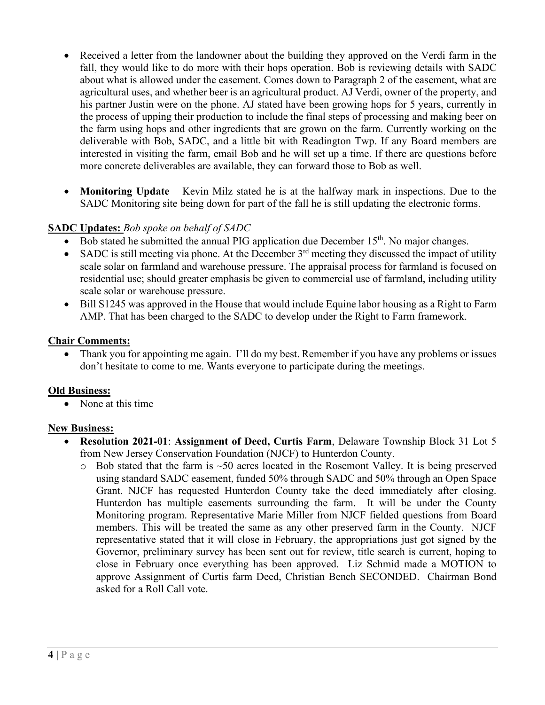- Received a letter from the landowner about the building they approved on the Verdi farm in the fall, they would like to do more with their hops operation. Bob is reviewing details with SADC about what is allowed under the easement. Comes down to Paragraph 2 of the easement, what are agricultural uses, and whether beer is an agricultural product. AJ Verdi, owner of the property, and his partner Justin were on the phone. AJ stated have been growing hops for 5 years, currently in the process of upping their production to include the final steps of processing and making beer on the farm using hops and other ingredients that are grown on the farm. Currently working on the deliverable with Bob, SADC, and a little bit with Readington Twp. If any Board members are interested in visiting the farm, email Bob and he will set up a time. If there are questions before more concrete deliverables are available, they can forward those to Bob as well.
- **Monitoring Update** Kevin Milz stated he is at the halfway mark in inspections. Due to the SADC Monitoring site being down for part of the fall he is still updating the electronic forms.

## **SADC Updates:** *Bob spoke on behalf of SADC*

- Bob stated he submitted the annual PIG application due December  $15<sup>th</sup>$ . No major changes.
- SADC is still meeting via phone. At the December  $3<sup>rd</sup>$  meeting they discussed the impact of utility scale solar on farmland and warehouse pressure. The appraisal process for farmland is focused on residential use; should greater emphasis be given to commercial use of farmland, including utility scale solar or warehouse pressure.
- Bill S1245 was approved in the House that would include Equine labor housing as a Right to Farm AMP. That has been charged to the SADC to develop under the Right to Farm framework.

#### **Chair Comments:**

• Thank you for appointing me again. I'll do my best. Remember if you have any problems or issues don't hesitate to come to me. Wants everyone to participate during the meetings.

#### **Old Business:**

• None at this time

#### **New Business:**

- **Resolution 2021-01**: **Assignment of Deed, Curtis Farm**, Delaware Township Block 31 Lot 5 from New Jersey Conservation Foundation (NJCF) to Hunterdon County.
	- $\circ$  Bob stated that the farm is  $\sim$ 50 acres located in the Rosemont Valley. It is being preserved using standard SADC easement, funded 50% through SADC and 50% through an Open Space Grant. NJCF has requested Hunterdon County take the deed immediately after closing. Hunterdon has multiple easements surrounding the farm. It will be under the County Monitoring program. Representative Marie Miller from NJCF fielded questions from Board members. This will be treated the same as any other preserved farm in the County. NJCF representative stated that it will close in February, the appropriations just got signed by the Governor, preliminary survey has been sent out for review, title search is current, hoping to close in February once everything has been approved. Liz Schmid made a MOTION to approve Assignment of Curtis farm Deed, Christian Bench SECONDED. Chairman Bond asked for a Roll Call vote.